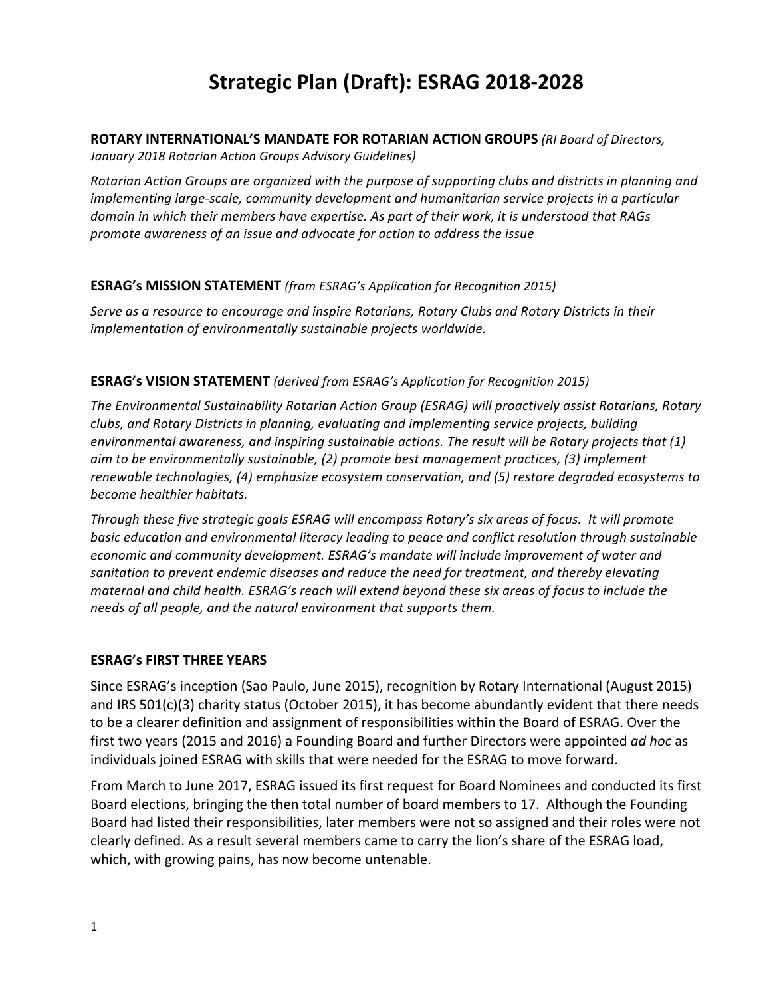# **Strategic Plan (Draft): ESRAG 2018-2028**

#### **ROTARY INTERNATIONAL'S MANDATE FOR ROTARIAN ACTION GROUPS** (RI Board of Directors,

*January 2018 Rotarian Action Groups Advisory Guidelines)*

*Rotarian Action Groups are organized with the purpose of supporting clubs and districts in planning and implementing large-scale, community development and humanitarian service projects in a particular* domain in which their members have expertise. As part of their work, it is understood that RAGs *promote awareness of an issue and advocate for action to address the issue* 

#### **ESRAG's MISSION STATEMENT** (from ESRAG's Application for Recognition 2015)

Serve as a resource to encourage and inspire Rotarians, Rotary Clubs and Rotary Districts in their implementation of environmentally sustainable projects worldwide.

#### **ESRAG's VISION STATEMENT** (derived from ESRAG's Application for Recognition 2015)

The Environmental Sustainability Rotarian Action Group (ESRAG) will proactively assist Rotarians, Rotary clubs, and Rotary Districts in planning, evaluating and implementing service projects, building environmental awareness, and inspiring sustainable actions. The result will be Rotary projects that (1) *aim* to be environmentally sustainable, (2) promote best management practices, (3) implement *renewable technologies, (4) emphasize ecosystem conservation, and (5) restore degraded ecosystems to become healthier habitats.* 

*Through these five strategic goals ESRAG will encompass Rotary's six areas of focus. It will promote basic* education and environmental literacy leading to peace and conflict resolution through sustainable economic and community development. ESRAG's mandate will include improvement of water and sanitation to prevent endemic diseases and reduce the need for treatment, and thereby elevating *maternal and child health.* ESRAG's reach will extend beyond these six areas of focus to include the *needs of all people, and the natural environment that supports them.* 

# **ESRAG's FIRST THREE YEARS**

Since ESRAG's inception (Sao Paulo, June 2015), recognition by Rotary International (August 2015) and IRS  $501(c)(3)$  charity status (October 2015), it has become abundantly evident that there needs to be a clearer definition and assignment of responsibilities within the Board of ESRAG. Over the first two years (2015 and 2016) a Founding Board and further Directors were appointed *ad hoc* as individuals joined ESRAG with skills that were needed for the ESRAG to move forward.

From March to June 2017, ESRAG issued its first request for Board Nominees and conducted its first Board elections, bringing the then total number of board members to 17. Although the Founding Board had listed their responsibilities, later members were not so assigned and their roles were not clearly defined. As a result several members came to carry the lion's share of the ESRAG load, which, with growing pains, has now become untenable.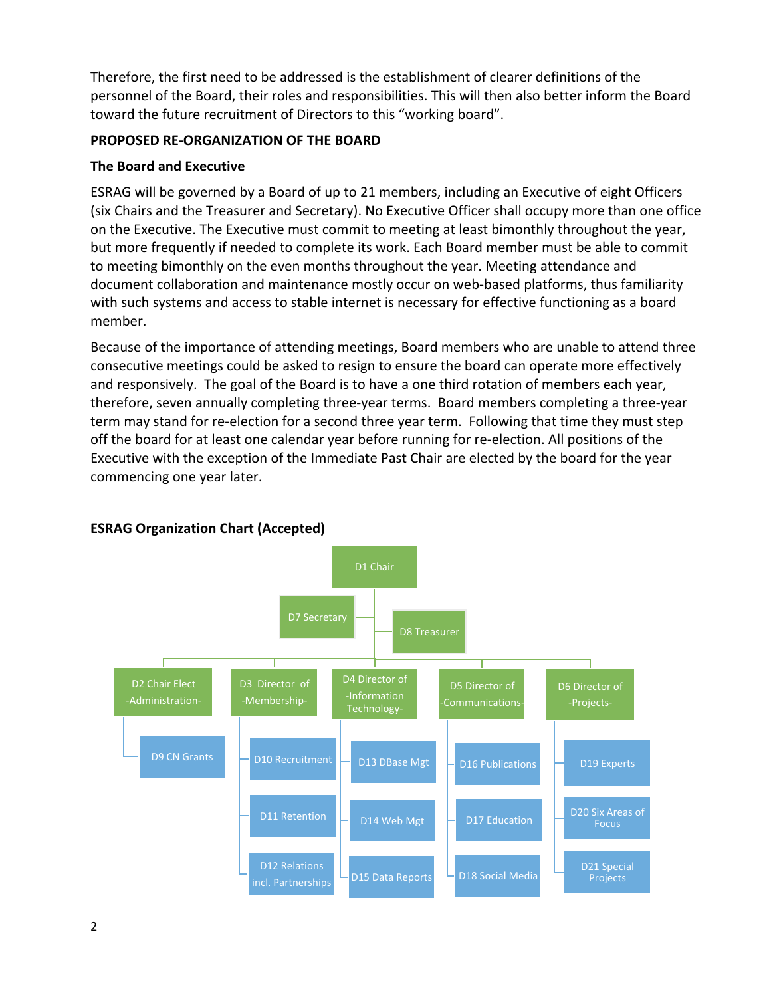Therefore, the first need to be addressed is the establishment of clearer definitions of the personnel of the Board, their roles and responsibilities. This will then also better inform the Board toward the future recruitment of Directors to this "working board".

#### **PROPOSED RE-ORGANIZATION OF THE BOARD**

#### **The Board and Executive**

ESRAG will be governed by a Board of up to 21 members, including an Executive of eight Officers (six Chairs and the Treasurer and Secretary). No Executive Officer shall occupy more than one office on the Executive. The Executive must commit to meeting at least bimonthly throughout the year, but more frequently if needed to complete its work. Each Board member must be able to commit to meeting bimonthly on the even months throughout the year. Meeting attendance and document collaboration and maintenance mostly occur on web-based platforms, thus familiarity with such systems and access to stable internet is necessary for effective functioning as a board member.

Because of the importance of attending meetings, Board members who are unable to attend three consecutive meetings could be asked to resign to ensure the board can operate more effectively and responsively. The goal of the Board is to have a one third rotation of members each year, therefore, seven annually completing three-year terms. Board members completing a three-year term may stand for re-election for a second three year term. Following that time they must step off the board for at least one calendar year before running for re-election. All positions of the Executive with the exception of the Immediate Past Chair are elected by the board for the year commencing one year later.



# **ESRAG Organization Chart (Accepted)**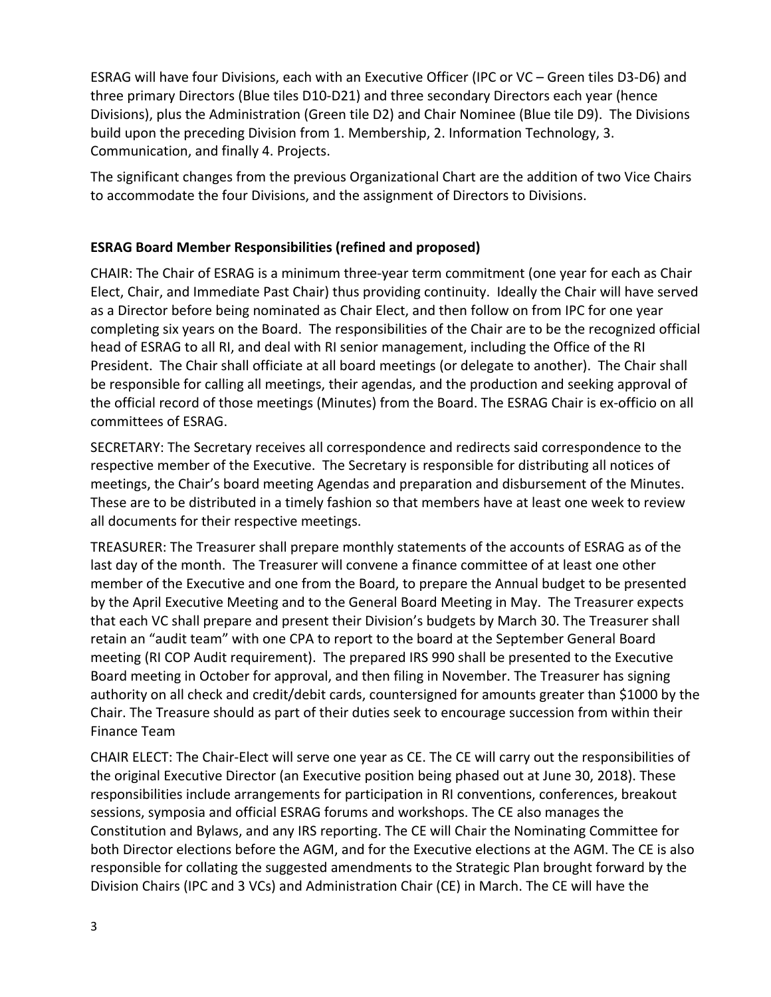ESRAG will have four Divisions, each with an Executive Officer (IPC or VC – Green tiles D3-D6) and three primary Directors (Blue tiles D10-D21) and three secondary Directors each year (hence Divisions), plus the Administration (Green tile D2) and Chair Nominee (Blue tile D9). The Divisions build upon the preceding Division from 1. Membership, 2. Information Technology, 3. Communication, and finally 4. Projects.

The significant changes from the previous Organizational Chart are the addition of two Vice Chairs to accommodate the four Divisions, and the assignment of Directors to Divisions.

# **ESRAG Board Member Responsibilities (refined and proposed)**

CHAIR: The Chair of ESRAG is a minimum three-year term commitment (one year for each as Chair Elect, Chair, and Immediate Past Chair) thus providing continuity. Ideally the Chair will have served as a Director before being nominated as Chair Elect, and then follow on from IPC for one year completing six years on the Board. The responsibilities of the Chair are to be the recognized official head of ESRAG to all RI, and deal with RI senior management, including the Office of the RI President. The Chair shall officiate at all board meetings (or delegate to another). The Chair shall be responsible for calling all meetings, their agendas, and the production and seeking approval of the official record of those meetings (Minutes) from the Board. The ESRAG Chair is ex-officio on all committees of ESRAG.

SECRETARY: The Secretary receives all correspondence and redirects said correspondence to the respective member of the Executive. The Secretary is responsible for distributing all notices of meetings, the Chair's board meeting Agendas and preparation and disbursement of the Minutes. These are to be distributed in a timely fashion so that members have at least one week to review all documents for their respective meetings.

TREASURER: The Treasurer shall prepare monthly statements of the accounts of ESRAG as of the last day of the month. The Treasurer will convene a finance committee of at least one other member of the Executive and one from the Board, to prepare the Annual budget to be presented by the April Executive Meeting and to the General Board Meeting in May. The Treasurer expects that each VC shall prepare and present their Division's budgets by March 30. The Treasurer shall retain an "audit team" with one CPA to report to the board at the September General Board meeting (RI COP Audit requirement). The prepared IRS 990 shall be presented to the Executive Board meeting in October for approval, and then filing in November. The Treasurer has signing authority on all check and credit/debit cards, countersigned for amounts greater than \$1000 by the Chair. The Treasure should as part of their duties seek to encourage succession from within their Finance Team

CHAIR ELECT: The Chair-Elect will serve one year as CE. The CE will carry out the responsibilities of the original Executive Director (an Executive position being phased out at June 30, 2018). These responsibilities include arrangements for participation in RI conventions, conferences, breakout sessions, symposia and official ESRAG forums and workshops. The CE also manages the Constitution and Bylaws, and any IRS reporting. The CE will Chair the Nominating Committee for both Director elections before the AGM, and for the Executive elections at the AGM. The CE is also responsible for collating the suggested amendments to the Strategic Plan brought forward by the Division Chairs (IPC and 3 VCs) and Administration Chair (CE) in March. The CE will have the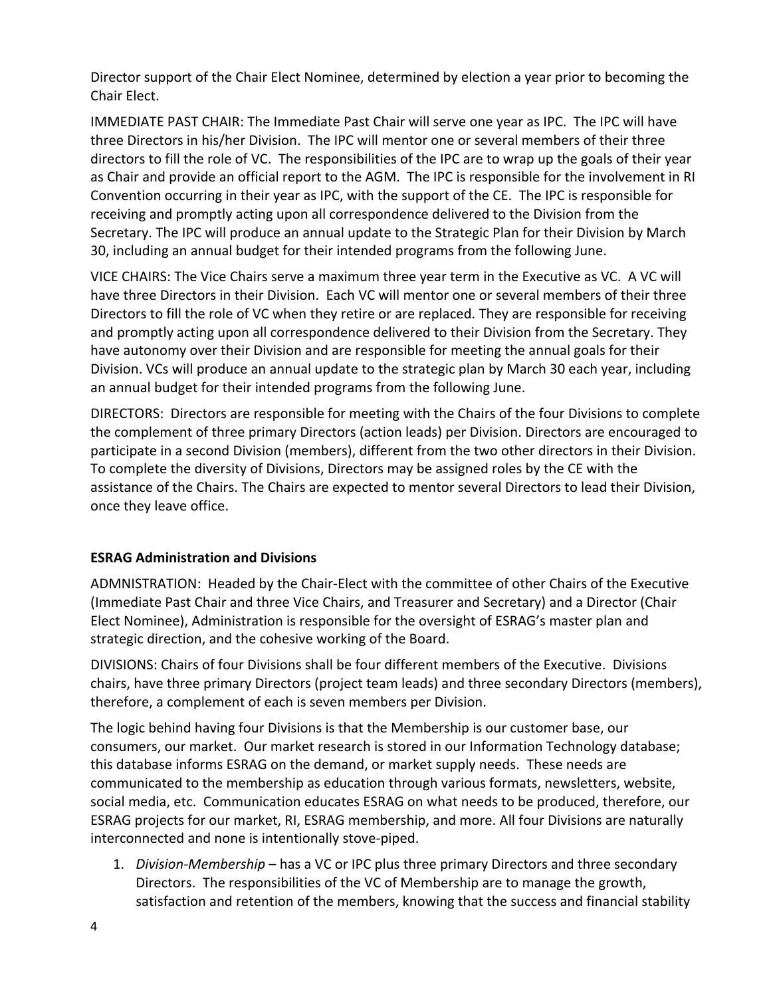Director support of the Chair Elect Nominee, determined by election a year prior to becoming the Chair Elect.

IMMEDIATE PAST CHAIR: The Immediate Past Chair will serve one year as IPC. The IPC will have three Directors in his/her Division. The IPC will mentor one or several members of their three directors to fill the role of VC. The responsibilities of the IPC are to wrap up the goals of their year as Chair and provide an official report to the AGM. The IPC is responsible for the involvement in RI Convention occurring in their year as IPC, with the support of the CE. The IPC is responsible for receiving and promptly acting upon all correspondence delivered to the Division from the Secretary. The IPC will produce an annual update to the Strategic Plan for their Division by March 30, including an annual budget for their intended programs from the following June.

VICE CHAIRS: The Vice Chairs serve a maximum three year term in the Executive as VC. A VC will have three Directors in their Division. Each VC will mentor one or several members of their three Directors to fill the role of VC when they retire or are replaced. They are responsible for receiving and promptly acting upon all correspondence delivered to their Division from the Secretary. They have autonomy over their Division and are responsible for meeting the annual goals for their Division. VCs will produce an annual update to the strategic plan by March 30 each year, including an annual budget for their intended programs from the following June.

DIRECTORS: Directors are responsible for meeting with the Chairs of the four Divisions to complete the complement of three primary Directors (action leads) per Division. Directors are encouraged to participate in a second Division (members), different from the two other directors in their Division. To complete the diversity of Divisions, Directors may be assigned roles by the CE with the assistance of the Chairs. The Chairs are expected to mentor several Directors to lead their Division, once they leave office.

# **ESRAG Administration and Divisions**

ADMNISTRATION: Headed by the Chair-Elect with the committee of other Chairs of the Executive (Immediate Past Chair and three Vice Chairs, and Treasurer and Secretary) and a Director (Chair Elect Nominee), Administration is responsible for the oversight of ESRAG's master plan and strategic direction, and the cohesive working of the Board.

DIVISIONS: Chairs of four Divisions shall be four different members of the Executive. Divisions chairs, have three primary Directors (project team leads) and three secondary Directors (members), therefore, a complement of each is seven members per Division.

The logic behind having four Divisions is that the Membership is our customer base, our consumers, our market. Our market research is stored in our Information Technology database; this database informs ESRAG on the demand, or market supply needs. These needs are communicated to the membership as education through various formats, newsletters, website, social media, etc. Communication educates ESRAG on what needs to be produced, therefore, our ESRAG projects for our market, RI, ESRAG membership, and more. All four Divisions are naturally interconnected and none is intentionally stove-piped.

1. *Division-Membership* – has a VC or IPC plus three primary Directors and three secondary Directors. The responsibilities of the VC of Membership are to manage the growth, satisfaction and retention of the members, knowing that the success and financial stability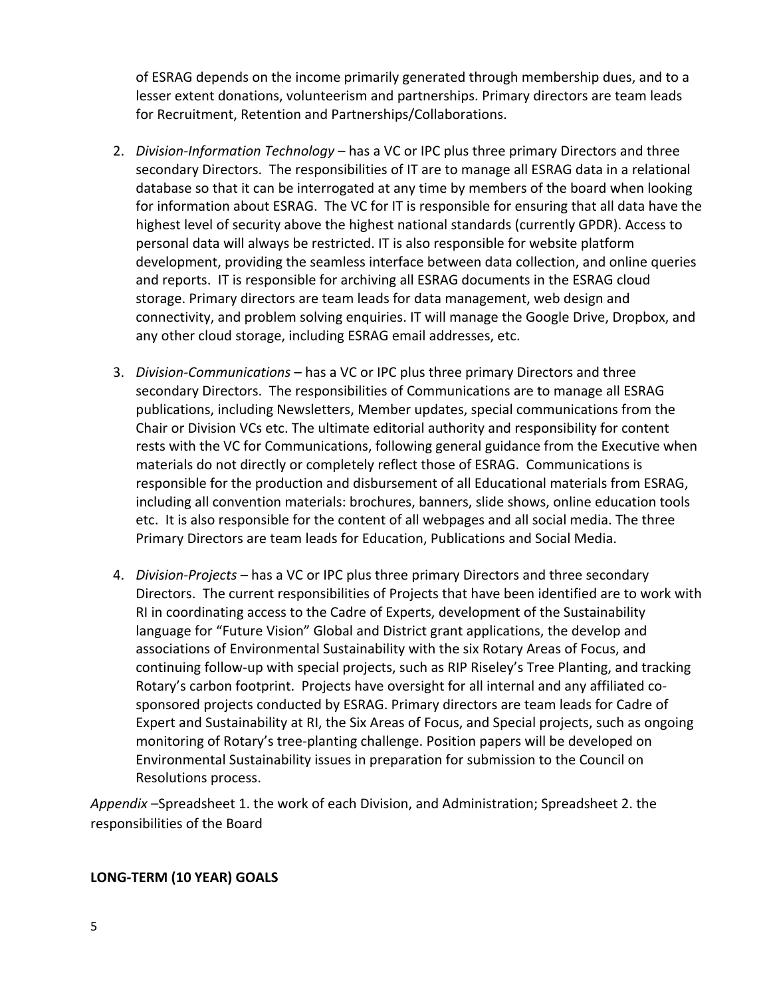of ESRAG depends on the income primarily generated through membership dues, and to a lesser extent donations, volunteerism and partnerships. Primary directors are team leads for Recruitment, Retention and Partnerships/Collaborations.

- 2. *Division-Information Technology* has a VC or IPC plus three primary Directors and three secondary Directors. The responsibilities of IT are to manage all ESRAG data in a relational database so that it can be interrogated at any time by members of the board when looking for information about ESRAG. The VC for IT is responsible for ensuring that all data have the highest level of security above the highest national standards (currently GPDR). Access to personal data will always be restricted. IT is also responsible for website platform development, providing the seamless interface between data collection, and online queries and reports. IT is responsible for archiving all ESRAG documents in the ESRAG cloud storage. Primary directors are team leads for data management, web design and connectivity, and problem solving enquiries. IT will manage the Google Drive, Dropbox, and any other cloud storage, including ESRAG email addresses, etc.
- 3. *Division-Communications* has a VC or IPC plus three primary Directors and three secondary Directors. The responsibilities of Communications are to manage all ESRAG publications, including Newsletters, Member updates, special communications from the Chair or Division VCs etc. The ultimate editorial authority and responsibility for content rests with the VC for Communications, following general guidance from the Executive when materials do not directly or completely reflect those of ESRAG. Communications is responsible for the production and disbursement of all Educational materials from ESRAG, including all convention materials: brochures, banners, slide shows, online education tools etc. It is also responsible for the content of all webpages and all social media. The three Primary Directors are team leads for Education, Publications and Social Media.
- 4. *Division-Projects* has a VC or IPC plus three primary Directors and three secondary Directors. The current responsibilities of Projects that have been identified are to work with RI in coordinating access to the Cadre of Experts, development of the Sustainability language for "Future Vision" Global and District grant applications, the develop and associations of Environmental Sustainability with the six Rotary Areas of Focus, and continuing follow-up with special projects, such as RIP Riseley's Tree Planting, and tracking Rotary's carbon footprint. Projects have oversight for all internal and any affiliated cosponsored projects conducted by ESRAG. Primary directors are team leads for Cadre of Expert and Sustainability at RI, the Six Areas of Focus, and Special projects, such as ongoing monitoring of Rotary's tree-planting challenge. Position papers will be developed on Environmental Sustainability issues in preparation for submission to the Council on Resolutions process.

Appendix -Spreadsheet 1. the work of each Division, and Administration; Spreadsheet 2. the responsibilities of the Board

# **LONG-TERM (10 YEAR) GOALS**